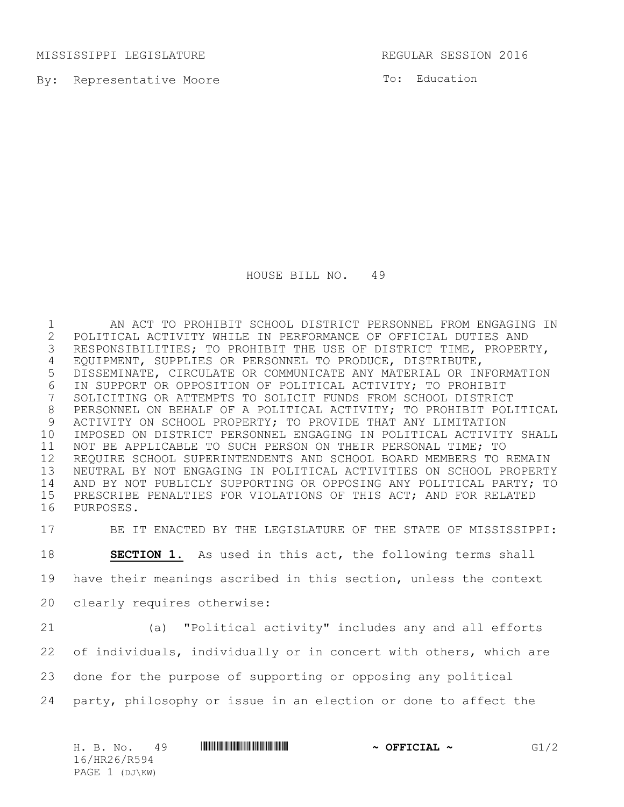MISSISSIPPI LEGISLATURE REGULAR SESSION 2016

By: Representative Moore

To: Education

HOUSE BILL NO. 49

 AN ACT TO PROHIBIT SCHOOL DISTRICT PERSONNEL FROM ENGAGING IN 2 POLITICAL ACTIVITY WHILE IN PERFORMANCE OF OFFICIAL DUTIES AND<br>3 RESPONSIBILITIES; TO PROHIBIT THE USE OF DISTRICT TIME, PROPER' RESPONSIBILITIES; TO PROHIBIT THE USE OF DISTRICT TIME, PROPERTY, EQUIPMENT, SUPPLIES OR PERSONNEL TO PRODUCE, DISTRIBUTE, DISSEMINATE, CIRCULATE OR COMMUNICATE ANY MATERIAL OR INFORMATION 6 IN SUPPORT OR OPPOSITION OF POLITICAL ACTIVITY; TO PROHIBIT<br>7 SOLICITING OR ATTEMPTS TO SOLICIT FUNDS FROM SCHOOL DISTRICT SOLICITING OR ATTEMPTS TO SOLICIT FUNDS FROM SCHOOL DISTRICT PERSONNEL ON BEHALF OF A POLITICAL ACTIVITY; TO PROHIBIT POLITICAL ACTIVITY ON SCHOOL PROPERTY; TO PROVIDE THAT ANY LIMITATION IMPOSED ON DISTRICT PERSONNEL ENGAGING IN POLITICAL ACTIVITY SHALL NOT BE APPLICABLE TO SUCH PERSON ON THEIR PERSONAL TIME; TO REQUIRE SCHOOL SUPERINTENDENTS AND SCHOOL BOARD MEMBERS TO REMAIN NEUTRAL BY NOT ENGAGING IN POLITICAL ACTIVITIES ON SCHOOL PROPERTY AND BY NOT PUBLICLY SUPPORTING OR OPPOSING ANY POLITICAL PARTY; TO PRESCRIBE PENALTIES FOR VIOLATIONS OF THIS ACT; AND FOR RELATED PURPOSES.

BE IT ENACTED BY THE LEGISLATURE OF THE STATE OF MISSISSIPPI:

**SECTION 1.** As used in this act, the following terms shall

have their meanings ascribed in this section, unless the context

- clearly requires otherwise:
- 

 (a) "Political activity" includes any and all efforts of individuals, individually or in concert with others, which are

done for the purpose of supporting or opposing any political

party, philosophy or issue in an election or done to affect the

| H. B. No.<br>49  | <u> I III DI BI DI BI DI BI DI BI DI BI DI BI DI BI DI BI DI BI DI BI DI BI DI BI DI BI DI BI DI BI DI BI DI BI</u> | $\sim$ OFFICIAL $\sim$ | G1/2 |
|------------------|---------------------------------------------------------------------------------------------------------------------|------------------------|------|
| 16/HR26/R594     |                                                                                                                     |                        |      |
| PAGE $1$ (DJ\KW) |                                                                                                                     |                        |      |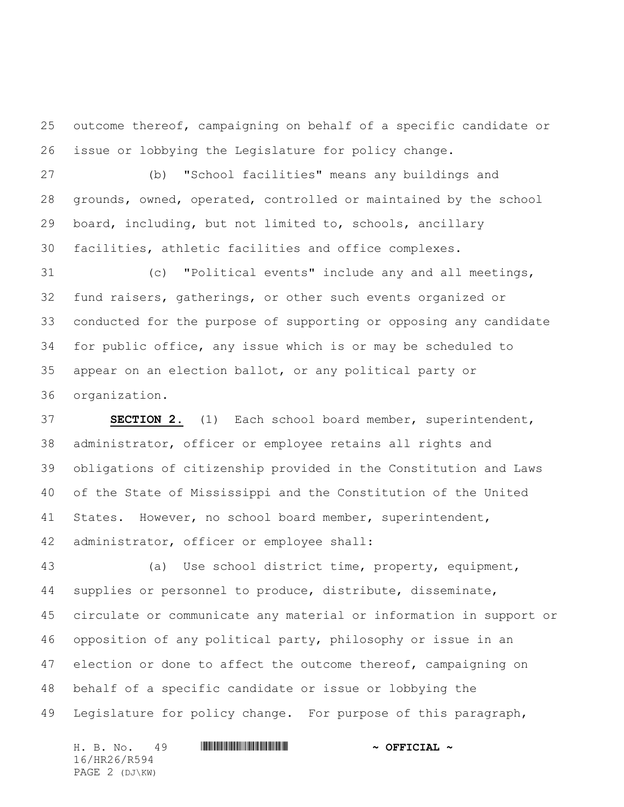outcome thereof, campaigning on behalf of a specific candidate or issue or lobbying the Legislature for policy change.

 (b) "School facilities" means any buildings and grounds, owned, operated, controlled or maintained by the school board, including, but not limited to, schools, ancillary facilities, athletic facilities and office complexes.

 (c) "Political events" include any and all meetings, fund raisers, gatherings, or other such events organized or conducted for the purpose of supporting or opposing any candidate for public office, any issue which is or may be scheduled to appear on an election ballot, or any political party or organization.

 **SECTION 2.** (1) Each school board member, superintendent, administrator, officer or employee retains all rights and obligations of citizenship provided in the Constitution and Laws of the State of Mississippi and the Constitution of the United States. However, no school board member, superintendent, administrator, officer or employee shall:

 (a) Use school district time, property, equipment, supplies or personnel to produce, distribute, disseminate, circulate or communicate any material or information in support or opposition of any political party, philosophy or issue in an 47 election or done to affect the outcome thereof, campaigning on behalf of a specific candidate or issue or lobbying the Legislature for policy change. For purpose of this paragraph,

H. B. No. 49 **HREFREE REED ASSESSED A OFFICIAL**  $\sim$ 16/HR26/R594 PAGE 2 (DJ\KW)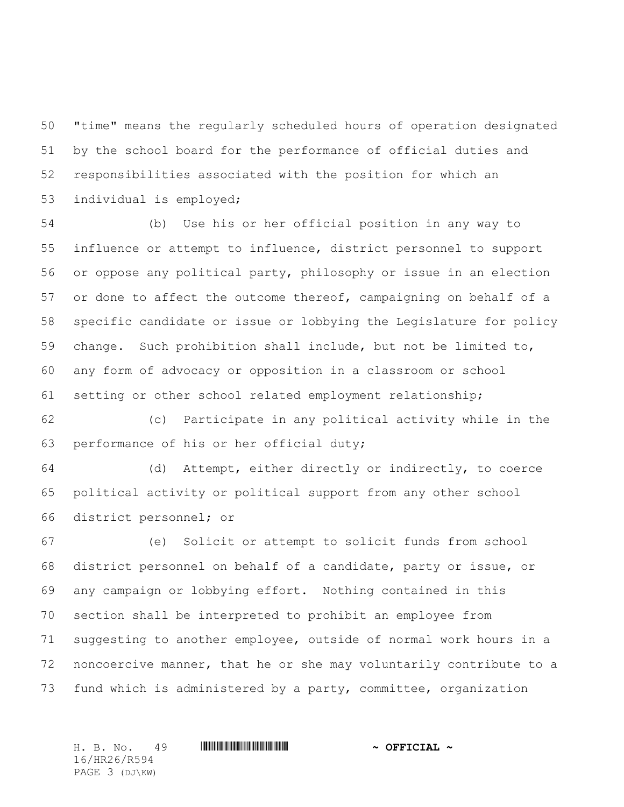"time" means the regularly scheduled hours of operation designated by the school board for the performance of official duties and responsibilities associated with the position for which an individual is employed;

 (b) Use his or her official position in any way to influence or attempt to influence, district personnel to support or oppose any political party, philosophy or issue in an election or done to affect the outcome thereof, campaigning on behalf of a specific candidate or issue or lobbying the Legislature for policy change. Such prohibition shall include, but not be limited to, any form of advocacy or opposition in a classroom or school setting or other school related employment relationship;

 (c) Participate in any political activity while in the performance of his or her official duty;

 (d) Attempt, either directly or indirectly, to coerce political activity or political support from any other school district personnel; or

 (e) Solicit or attempt to solicit funds from school district personnel on behalf of a candidate, party or issue, or any campaign or lobbying effort. Nothing contained in this section shall be interpreted to prohibit an employee from suggesting to another employee, outside of normal work hours in a noncoercive manner, that he or she may voluntarily contribute to a fund which is administered by a party, committee, organization

16/HR26/R594 PAGE 3 (DJ\KW)

H. B. No. 49 \*HR26/R594\* **~ OFFICIAL ~**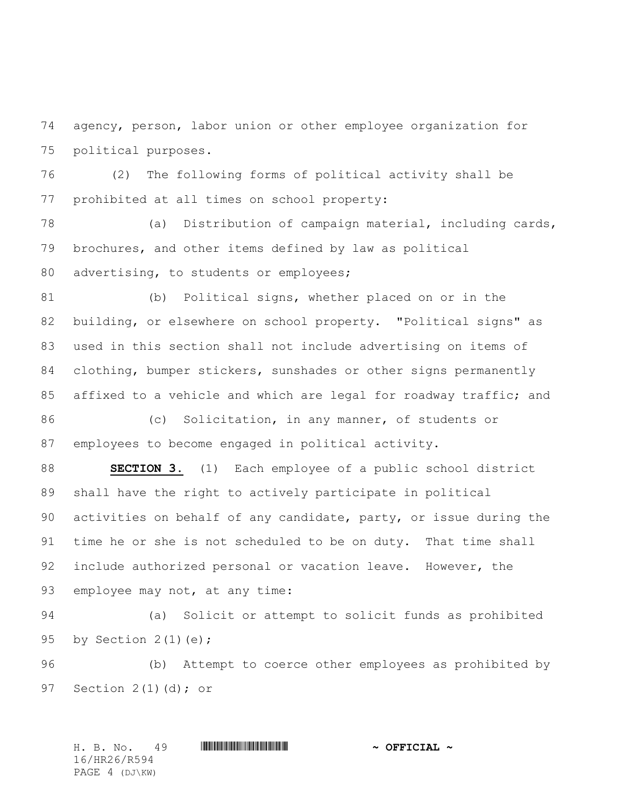agency, person, labor union or other employee organization for political purposes.

 (2) The following forms of political activity shall be prohibited at all times on school property:

 (a) Distribution of campaign material, including cards, brochures, and other items defined by law as political 80 advertising, to students or employees;

 (b) Political signs, whether placed on or in the building, or elsewhere on school property. "Political signs" as used in this section shall not include advertising on items of clothing, bumper stickers, sunshades or other signs permanently 85 affixed to a vehicle and which are legal for roadway traffic; and

86 (c) Solicitation, in any manner, of students or employees to become engaged in political activity.

 **SECTION 3.** (1) Each employee of a public school district shall have the right to actively participate in political activities on behalf of any candidate, party, or issue during the time he or she is not scheduled to be on duty. That time shall 92 include authorized personal or vacation leave. However, the employee may not, at any time:

 (a) Solicit or attempt to solicit funds as prohibited by Section 2(1)(e);

 (b) Attempt to coerce other employees as prohibited by Section 2(1)(d); or

H. B. No. 49 \*HR26/R594\* **~ OFFICIAL ~** 16/HR26/R594 PAGE 4 (DJ\KW)